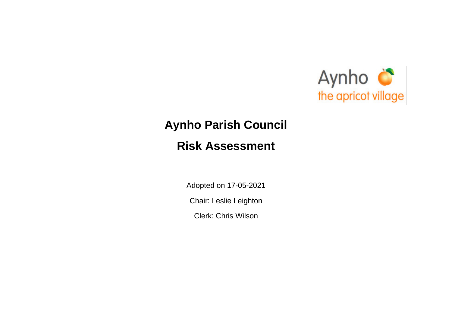

## **Aynho Parish Council**

## **Risk Assessment**

Adopted on 17-05-2021

Chair: Leslie Leighton

Clerk: Chris Wilson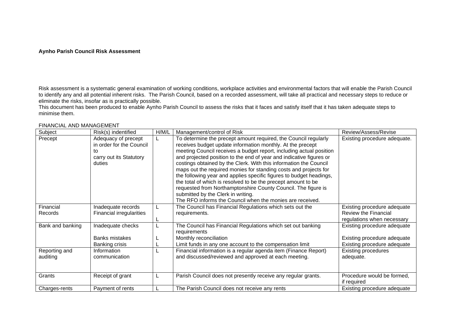## **Aynho Parish Council Risk Assessment**

Risk assessment is a systematic general examination of working conditions, workplace activities and environmental factors that will enable the Parish Council to identify any and all potential inherent risks. The Parish Council, based on a recorded assessment, will take all practical and necessary steps to reduce or eliminate the risks, insofar as is practically possible.

This document has been produced to enable Aynho Parish Council to assess the risks that it faces and satisfy itself that it has taken adequate steps to minimise them.

FINANCIAL AND MANAGEMENT

| Subject                   | Risk(s) indentified                                                                        | H/M/L | Management/control of Risk                                                                                                                                                                                                                                                                                                                                                                                                                                                                                                                                                                                                                                                                                                       | Review/Assess/Revise                                                                      |
|---------------------------|--------------------------------------------------------------------------------------------|-------|----------------------------------------------------------------------------------------------------------------------------------------------------------------------------------------------------------------------------------------------------------------------------------------------------------------------------------------------------------------------------------------------------------------------------------------------------------------------------------------------------------------------------------------------------------------------------------------------------------------------------------------------------------------------------------------------------------------------------------|-------------------------------------------------------------------------------------------|
| Precept                   | Adequacy of precept<br>in order for the Council<br>to<br>carry out its Statutory<br>duties |       | To determine the precept amount required, the Council regularly<br>receives budget update information monthly. At the precept<br>meeting Council receives a budget report, including actual position<br>and projected position to the end of year and indicative figures or<br>costings obtained by the Clerk. With this information the Council<br>maps out the required monies for standing costs and projects for<br>the following year and applies specific figures to budget headings,<br>the total of which is resolved to be the precept amount to be<br>requested from Northamptonshire County Council. The figure is<br>submitted by the Clerk in writing.<br>The RFO informs the Council when the monies are received. | Existing procedure adequate.                                                              |
| Financial<br>Records      | Inadequate records<br><b>Financial irregularities</b>                                      |       | The Council has Financial Regulations which sets out the<br>requirements.                                                                                                                                                                                                                                                                                                                                                                                                                                                                                                                                                                                                                                                        | Existing procedure adequate<br>Review the Financial<br>regulations when necessary         |
| Bank and banking          | Inadequate checks<br><b>Banks mistakes</b><br>Banking crisis                               |       | The Council has Financial Regulations which set out banking<br>requirements<br>Monthly reconciliation<br>Limit funds in any one account to the compensation limit                                                                                                                                                                                                                                                                                                                                                                                                                                                                                                                                                                | Existing procedure adequate<br>Existing procedure adequate<br>Existing procedure adequate |
| Reporting and<br>auditing | Information<br>communication                                                               |       | Financial information is a regular agenda item (Finance Report)<br>and discussed/reviewed and approved at each meeting.                                                                                                                                                                                                                                                                                                                                                                                                                                                                                                                                                                                                          | <b>Existing procedures</b><br>adequate.                                                   |
| Grants                    | Receipt of grant                                                                           |       | Parish Council does not presently receive any regular grants.                                                                                                                                                                                                                                                                                                                                                                                                                                                                                                                                                                                                                                                                    | Procedure would be formed,<br>if required                                                 |
| Charges-rents             | Payment of rents                                                                           |       | The Parish Council does not receive any rents                                                                                                                                                                                                                                                                                                                                                                                                                                                                                                                                                                                                                                                                                    | Existing procedure adequate                                                               |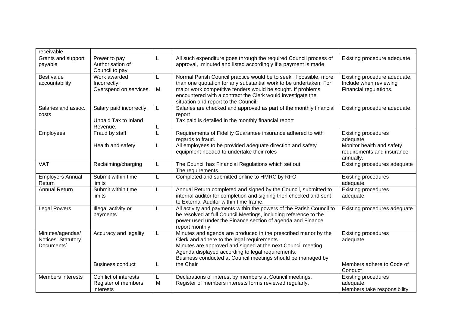| receivable                                          |                                                              |        |                                                                                                                                                                                                                                                                                                               |                                                                                                                 |
|-----------------------------------------------------|--------------------------------------------------------------|--------|---------------------------------------------------------------------------------------------------------------------------------------------------------------------------------------------------------------------------------------------------------------------------------------------------------------|-----------------------------------------------------------------------------------------------------------------|
| Grants and support<br>payable                       | Power to pay<br>Authorisation of<br>Council to pay           | L      | All such expenditure goes through the required Council process of<br>approval, minuted and listed accordingly if a payment is made                                                                                                                                                                            | Existing procedure adequate.                                                                                    |
| Best value<br>accountability                        | Work awarded<br>Incorrectly.<br>Overspend on services.       | L<br>M | Normal Parish Council practice would be to seek, if possible, more<br>than one quotation for any substantial work to be undertaken. For<br>major work competitive tenders would be sought. If problems<br>encountered with a contract the Clerk would investigate the<br>situation and report to the Council. | Existing procedure adequate.<br>Include when reviewing<br>Financial regulations.                                |
| Salaries and assoc.<br>costs                        | Salary paid incorrectly.<br>Unpaid Tax to Inland<br>Revenue. | L.     | Salaries are checked and approved as part of the monthly financial<br>report<br>Tax paid is detailed in the monthly financial report                                                                                                                                                                          | Existing procedure adequate.                                                                                    |
| Employees                                           | Fraud by staff<br>Health and safety                          | L<br>L | Requirements of Fidelity Guarantee insurance adhered to with<br>regards to fraud.<br>All employees to be provided adequate direction and safety<br>equipment needed to undertake their roles                                                                                                                  | <b>Existing procedures</b><br>adequate.<br>Monitor health and safety<br>requirements and insurance<br>annually. |
| <b>VAT</b>                                          | Reclaiming/charging                                          | L      | The Council has Financial Regulations which set out<br>The requirements.                                                                                                                                                                                                                                      | Existing procedures adequate                                                                                    |
| <b>Employers Annual</b><br>Return                   | Submit within time<br>limits                                 | L      | Completed and submitted online to HMRC by RFO                                                                                                                                                                                                                                                                 | <b>Existing procedures</b><br>adequate.                                                                         |
| <b>Annual Return</b>                                | Submit within time<br>limits                                 | L      | Annual Return completed and signed by the Council, submitted to<br>internal auditor for completion and signing then checked and sent<br>to External Auditor within time frame.                                                                                                                                | <b>Existing procedures</b><br>adequate.                                                                         |
| <b>Legal Powers</b>                                 | Illegal activity or<br>payments                              | L      | All activity and payments within the powers of the Parish Council to<br>be resolved at full Council Meetings, including reference to the<br>power used under the Finance section of agenda and Finance<br>report monthly.                                                                                     | Existing procedures adequate                                                                                    |
| Minutes/agendas/<br>Notices Statutory<br>Documents' | Accuracy and legality                                        | L      | Minutes and agenda are produced in the prescribed manor by the<br>Clerk and adhere to the legal requirements.<br>Minutes are approved and signed at the next Council meeting.<br>Agenda displayed according to legal requirements.<br>Business conducted at Council meetings should be managed by             | <b>Existing procedures</b><br>adequate.                                                                         |
|                                                     | <b>Business conduct</b>                                      | L      | the Chair                                                                                                                                                                                                                                                                                                     | Members adhere to Code of<br>Conduct                                                                            |
| Members interests                                   | Conflict of interests<br>Register of members<br>interests    | L<br>M | Declarations of interest by members at Council meetings.<br>Register of members interests forms reviewed regularly.                                                                                                                                                                                           | <b>Existing procedures</b><br>adequate.<br>Members take responsibility                                          |